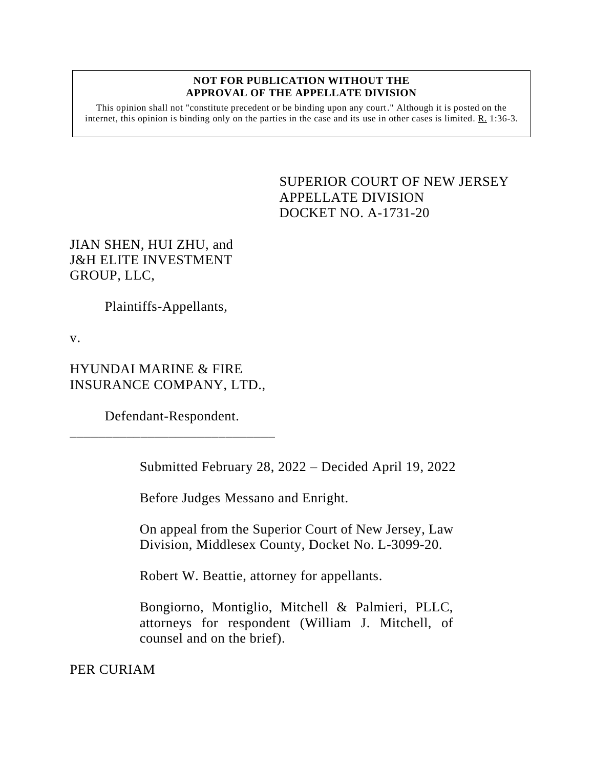## **NOT FOR PUBLICATION WITHOUT THE APPROVAL OF THE APPELLATE DIVISION**

This opinion shall not "constitute precedent or be binding upon any court." Although it is posted on the internet, this opinion is binding only on the parties in the case and its use in other cases is limited. R. 1:36-3.

> <span id="page-0-0"></span>SUPERIOR COURT OF NEW JERSEY APPELLATE DIVISION DOCKET NO. A-1731-20

JIAN SHEN, HUI ZHU, and J&H ELITE INVESTMENT GROUP, LLC,

Plaintiffs-Appellants,

v.

HYUNDAI MARINE & FIRE INSURANCE COMPANY, LTD.,

Defendant-Respondent. \_\_\_\_\_\_\_\_\_\_\_\_\_\_\_\_\_\_\_\_\_\_\_\_\_\_\_\_\_

Submitted February 28, 2022 – Decided April 19, 2022

Before Judges Messano and Enright.

On appeal from the Superior Court of New Jersey, Law Division, Middlesex County, Docket No. L-3099-20.

Robert W. Beattie, attorney for appellants.

Bongiorno, Montiglio, Mitchell & Palmieri, PLLC, attorneys for respondent (William J. Mitchell, of counsel and on the brief).

PER CURIAM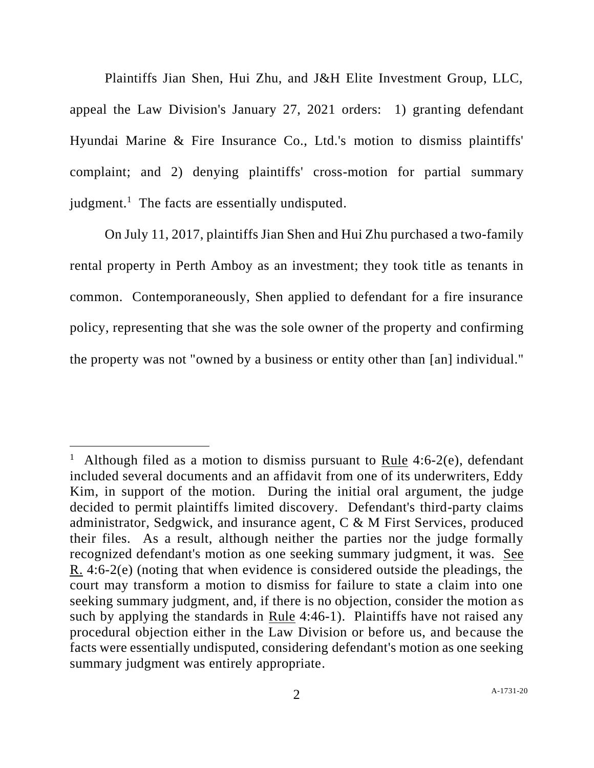Plaintiffs Jian Shen, Hui Zhu, and J&H Elite Investment Group, LLC, appeal the Law Division's January 27, 2021 orders: 1) granting defendant Hyundai Marine & Fire Insurance Co., Ltd.'s motion to dismiss plaintiffs' complaint; and 2) denying plaintiffs' cross-motion for partial summary judgment.<sup>1</sup> The facts are essentially undisputed.

On July 11, 2017, plaintiffs Jian Shen and Hui Zhu purchased a two-family rental property in Perth Amboy as an investment; they took title as tenants in common. Contemporaneously, Shen applied to defendant for a fire insurance policy, representing that she was the sole owner of the property and confirming the property was not "owned by a business or entity other than [an] individual."

Although filed as a motion to dismiss pursuant to Rule 4:6-2(e), defendant included several documents and an affidavit from one of its underwriters, Eddy Kim, in support of the motion. During the initial oral argument, the judge decided to permit plaintiffs limited discovery. Defendant's third-party claims administrator, Sedgwick, and insurance agent, C & M First Services, produced their files. As a result, although neither the parties nor the judge formally recognized defendant's motion as one seeking summary judgment, it was. See R. 4:6-2(e) (noting that when evidence is considered outside the pleadings, the court may transform a motion to dismiss for failure to state a claim into one seeking summary judgment, and, if there is no objection, consider the motion as such by applying the standards in Rule 4:46-1). Plaintiffs have not raised any procedural objection either in the Law Division or before us, and because the facts were essentially undisputed, considering defendant's motion as one seeking summary judgment was entirely appropriate.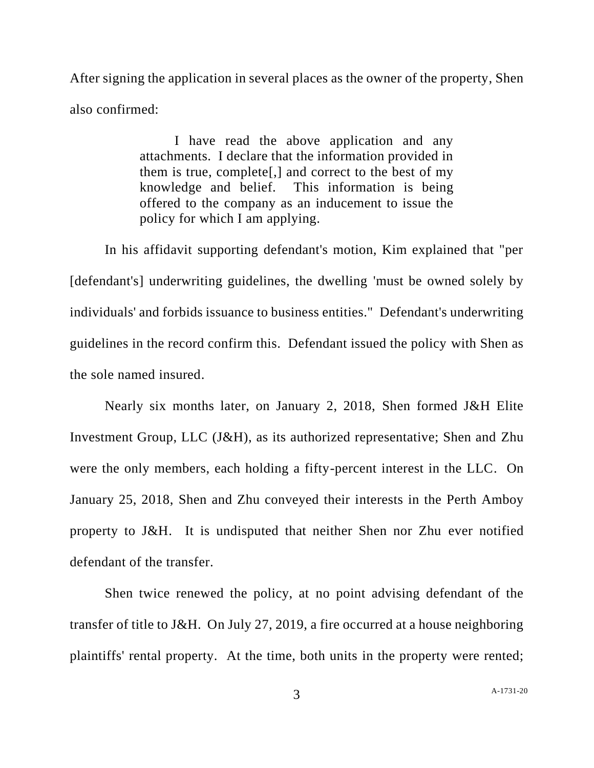After signing the application in several places as the owner of the property, Shen also confirmed:

> I have read the above application and any attachments. I declare that the information provided in them is true, complete[,] and correct to the best of my knowledge and belief. This information is being offered to the company as an inducement to issue the policy for which I am applying.

In his affidavit supporting defendant's motion, Kim explained that "per [defendant's] underwriting guidelines, the dwelling 'must be owned solely by individuals' and forbids issuance to business entities." Defendant's underwriting guidelines in the record confirm this. Defendant issued the policy with Shen as the sole named insured.

Nearly six months later, on January 2, 2018, Shen formed J&H Elite Investment Group, LLC (J&H), as its authorized representative; Shen and Zhu were the only members, each holding a fifty-percent interest in the LLC. On January 25, 2018, Shen and Zhu conveyed their interests in the Perth Amboy property to J&H. It is undisputed that neither Shen nor Zhu ever notified defendant of the transfer.

 Shen twice renewed the policy, at no point advising defendant of the transfer of title to J&H. On July 27, 2019, a fire occurred at a house neighboring plaintiffs' rental property. At the time, both units in the property were rented;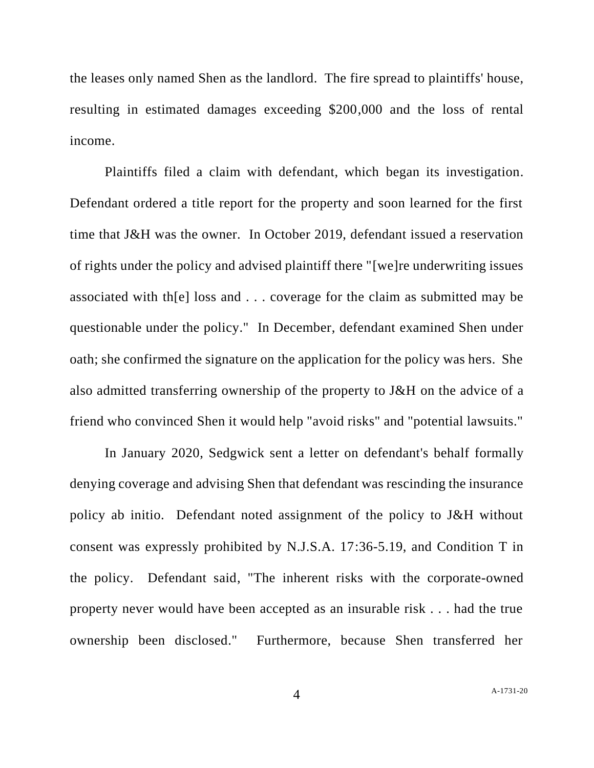the leases only named Shen as the landlord. The fire spread to plaintiffs' house, resulting in estimated damages exceeding \$200,000 and the loss of rental income.

Plaintiffs filed a claim with defendant, which began its investigation. Defendant ordered a title report for the property and soon learned for the first time that J&H was the owner. In October 2019, defendant issued a reservation of rights under the policy and advised plaintiff there "[we]re underwriting issues associated with th[e] loss and . . . coverage for the claim as submitted may be questionable under the policy." In December, defendant examined Shen under oath; she confirmed the signature on the application for the policy was hers. She also admitted transferring ownership of the property to J&H on the advice of a friend who convinced Shen it would help "avoid risks" and "potential lawsuits."

In January 2020, Sedgwick sent a letter on defendant's behalf formally denying coverage and advising Shen that defendant was rescinding the insurance policy ab initio. Defendant noted assignment of the policy to J&H without consent was expressly prohibited by N.J.S.A. 17:36-5.19, and Condition T in the policy. Defendant said, "The inherent risks with the corporate-owned property never would have been accepted as an insurable risk . . . had the true ownership been disclosed." Furthermore, because Shen transferred her

4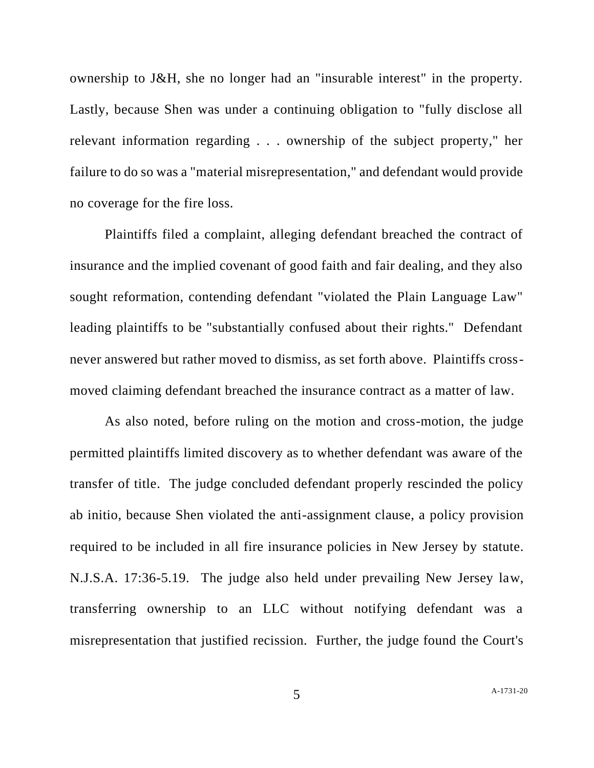ownership to J&H, she no longer had an "insurable interest" in the property. Lastly, because Shen was under a continuing obligation to "fully disclose all relevant information regarding . . . ownership of the subject property," her failure to do so was a "material misrepresentation," and defendant would provide no coverage for the fire loss.

Plaintiffs filed a complaint, alleging defendant breached the contract of insurance and the implied covenant of good faith and fair dealing, and they also sought reformation, contending defendant "violated the Plain Language Law" leading plaintiffs to be "substantially confused about their rights." Defendant never answered but rather moved to dismiss, as set forth above. Plaintiffs crossmoved claiming defendant breached the insurance contract as a matter of law.

As also noted, before ruling on the motion and cross-motion, the judge permitted plaintiffs limited discovery as to whether defendant was aware of the transfer of title. The judge concluded defendant properly rescinded the policy ab initio, because Shen violated the anti-assignment clause, a policy provision required to be included in all fire insurance policies in New Jersey by statute. N.J.S.A. 17:36-5.19. The judge also held under prevailing New Jersey law, transferring ownership to an LLC without notifying defendant was a misrepresentation that justified recission. Further, the judge found the Court's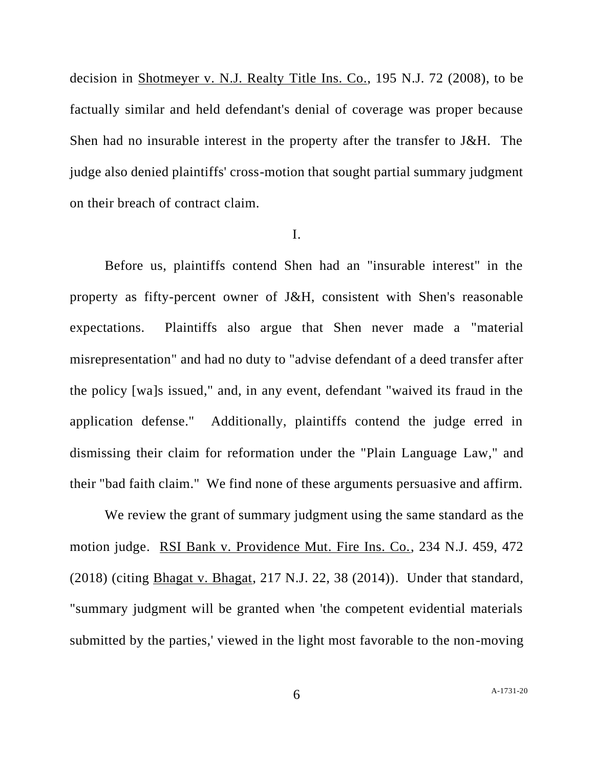decision in Shotmeyer v. N.J. Realty Title Ins. Co., 195 N.J. 72 (2008), to be factually similar and held defendant's denial of coverage was proper because Shen had no insurable interest in the property after the transfer to J&H. The judge also denied plaintiffs' cross-motion that sought partial summary judgment on their breach of contract claim.

## I.

Before us, plaintiffs contend Shen had an "insurable interest" in the property as fifty-percent owner of J&H, consistent with Shen's reasonable expectations. Plaintiffs also argue that Shen never made a "material misrepresentation" and had no duty to "advise defendant of a deed transfer after the policy [wa]s issued," and, in any event, defendant "waived its fraud in the application defense." Additionally, plaintiffs contend the judge erred in dismissing their claim for reformation under the "Plain Language Law," and their "bad faith claim." We find none of these arguments persuasive and affirm.

We review the grant of summary judgment using the same standard as the motion judge. RSI Bank v. Providence Mut. Fire Ins. Co., 234 N.J. 459, 472 (2018) (citing Bhagat v. Bhagat, 217 N.J. 22, 38 (2014)). Under that standard, "summary judgment will be granted when 'the competent evidential materials submitted by the parties,' viewed in the light most favorable to the non-moving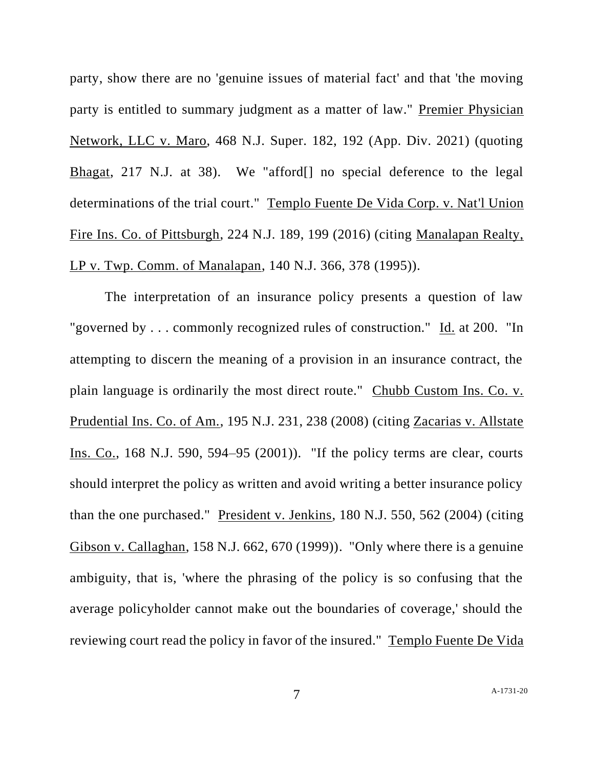party, show there are no 'genuine issues of material fact' and that 'the moving party is entitled to summary judgment as a matter of law." Premier Physician Network, LLC v. Maro, 468 N.J. Super. 182, 192 (App. Div. 2021) (quoting Bhagat, 217 N.J. at 38). We "afford[] no special deference to the legal determinations of the trial court." Templo Fuente De Vida Corp. v. Nat'l Union Fire Ins. Co. of Pittsburgh, 224 N.J. 189, 199 (2016) (citing Manalapan Realty, LP v. Twp. Comm. of Manalapan, 140 N.J. 366, 378 (1995)).

The interpretation of an insurance policy presents a question of law "governed by . . . commonly recognized rules of construction." Id. at 200. "In attempting to discern the meaning of a provision in an insurance contract, the plain language is ordinarily the most direct route." Chubb Custom Ins. Co. v. Prudential Ins. Co. of Am., 195 N.J. 231, 238 (2008) (citing Zacarias v. Allstate Ins. Co., 168 N.J. 590, 594–95 (2001)). "If the policy terms are clear, courts should interpret the policy as written and avoid writing a better insurance policy than the one purchased." President v. Jenkins, 180 N.J. 550, 562 (2004) (citing Gibson v. Callaghan, 158 N.J. 662, 670 (1999)). "Only where there is a genuine ambiguity, that is, 'where the phrasing of the policy is so confusing that the average policyholder cannot make out the boundaries of coverage,' should the reviewing court read the policy in favor of the insured." Templo Fuente De Vida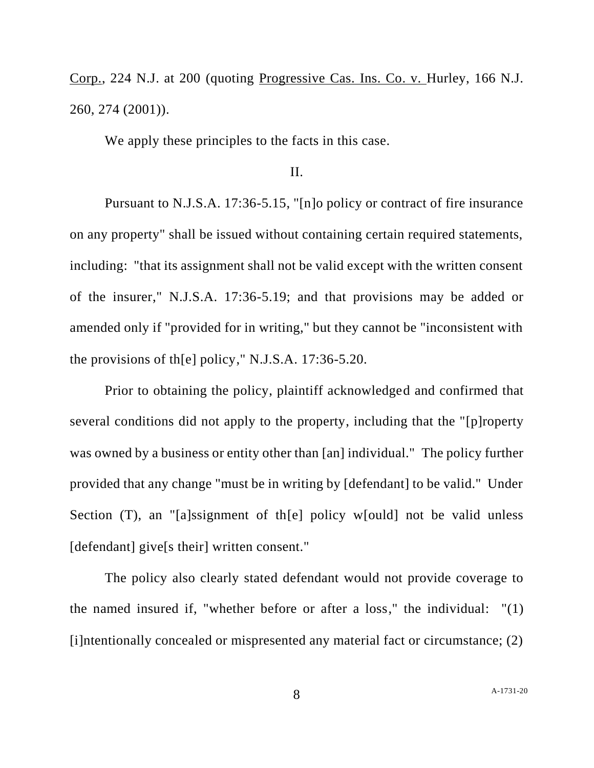Corp., 224 N.J. at 200 (quoting Progressive Cas. Ins. Co. v. Hurley, 166 N.J. 260, 274 (2001)).

We apply these principles to the facts in this case.

## II.

Pursuant to N.J.S.A. 17:36-5.15, "[n]o policy or contract of fire insurance on any property" shall be issued without containing certain required statements, including: "that its assignment shall not be valid except with the written consent of the insurer," N.J.S.A. 17:36-5.19; and that provisions may be added or amended only if "provided for in writing," but they cannot be "inconsistent with the provisions of th[e] policy," N.J.S.A. 17:36-5.20.

Prior to obtaining the policy, plaintiff acknowledged and confirmed that several conditions did not apply to the property, including that the "[p]roperty was owned by a business or entity other than [an] individual." The policy further provided that any change "must be in writing by [defendant] to be valid." Under Section (T), an "[a]ssignment of th[e] policy w[ould] not be valid unless [defendant] give[s their] written consent."

The policy also clearly stated defendant would not provide coverage to the named insured if, "whether before or after a loss," the individual: "(1) [i]ntentionally concealed or mispresented any material fact or circumstance; (2)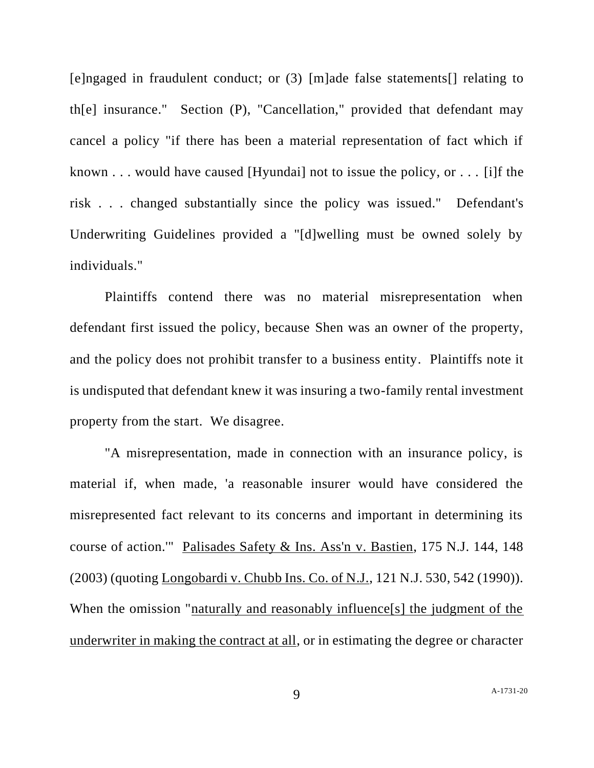[e]ngaged in fraudulent conduct; or (3) [m]ade false statements[] relating to th[e] insurance." Section (P), "Cancellation," provided that defendant may cancel a policy "if there has been a material representation of fact which if known . . . would have caused [Hyundai] not to issue the policy, or . . . [i]f the risk . . . changed substantially since the policy was issued." Defendant's Underwriting Guidelines provided a "[d]welling must be owned solely by individuals."

Plaintiffs contend there was no material misrepresentation when defendant first issued the policy, because Shen was an owner of the property, and the policy does not prohibit transfer to a business entity. Plaintiffs note it is undisputed that defendant knew it was insuring a two-family rental investment property from the start. We disagree.

"A misrepresentation, made in connection with an insurance policy, is material if, when made, 'a reasonable insurer would have considered the misrepresented fact relevant to its concerns and important in determining its course of action.'" Palisades Safety & Ins. Ass'n v. Bastien, 175 N.J. 144, 148 (2003) (quoting Longobardi v. Chubb Ins. Co. of N.J., 121 N.J. 530, 542 (1990)). When the omission "naturally and reasonably influence[s] the judgment of the underwriter in making the contract at all, or in estimating the degree or character

9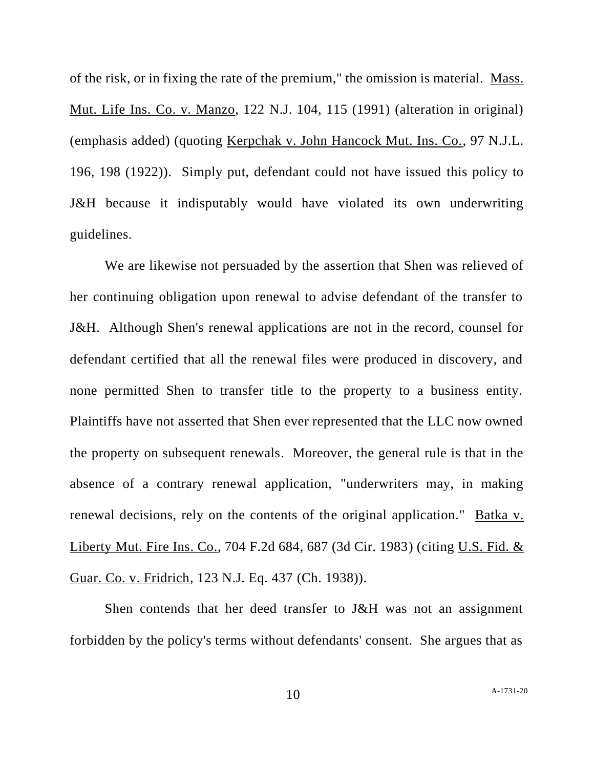of the risk, or in fixing the rate of the premium," the omission is material. Mass. Mut. Life Ins. Co. v. Manzo, 122 N.J. 104, 115 (1991) (alteration in original) (emphasis added) (quoting Kerpchak v. John Hancock Mut. Ins. Co., 97 N.J.L. 196, 198 (1922)). Simply put, defendant could not have issued this policy to J&H because it indisputably would have violated its own underwriting guidelines.

We are likewise not persuaded by the assertion that Shen was relieved of her continuing obligation upon renewal to advise defendant of the transfer to J&H. Although Shen's renewal applications are not in the record, counsel for defendant certified that all the renewal files were produced in discovery, and none permitted Shen to transfer title to the property to a business entity. Plaintiffs have not asserted that Shen ever represented that the LLC now owned the property on subsequent renewals. Moreover, the general rule is that in the absence of a contrary renewal application, "underwriters may, in making renewal decisions, rely on the contents of the original application." Batka v. Liberty Mut. Fire Ins. Co., 704 F.2d 684, 687 (3d Cir. 1983) (citing U.S. Fid. & Guar. Co. v. Fridrich, 123 N.J. Eq. 437 (Ch. 1938)).

Shen contends that her deed transfer to J&H was not an assignment forbidden by the policy's terms without defendants' consent. She argues that as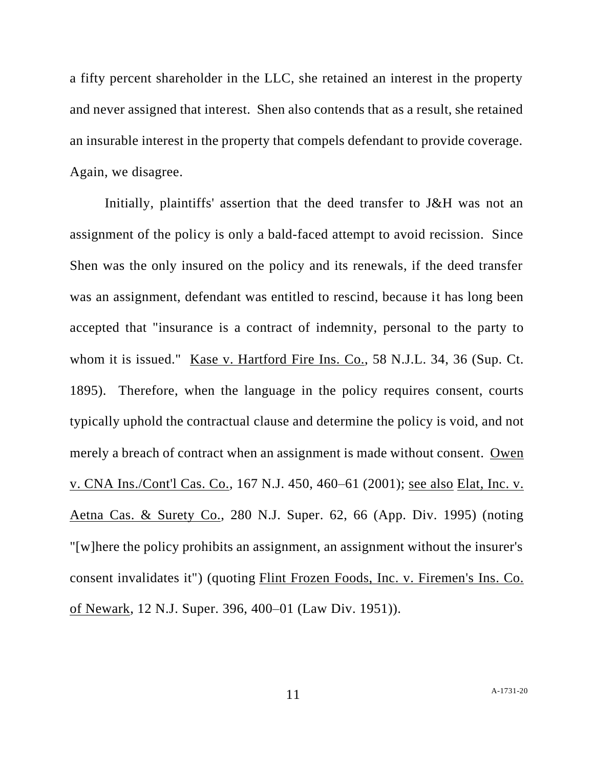a fifty percent shareholder in the LLC, she retained an interest in the property and never assigned that interest. Shen also contends that as a result, she retained an insurable interest in the property that compels defendant to provide coverage. Again, we disagree.

Initially, plaintiffs' assertion that the deed transfer to J&H was not an assignment of the policy is only a bald-faced attempt to avoid recission. Since Shen was the only insured on the policy and its renewals, if the deed transfer was an assignment, defendant was entitled to rescind, because it has long been accepted that "insurance is a contract of indemnity, personal to the party to whom it is issued." Kase v. Hartford Fire Ins. Co., 58 N.J.L. 34, 36 (Sup. Ct. 1895). Therefore, when the language in the policy requires consent, courts typically uphold the contractual clause and determine the policy is void, and not merely a breach of contract when an assignment is made without consent. Owen v. CNA Ins./Cont'l Cas. Co., 167 N.J. 450, 460–61 (2001); see also Elat, Inc. v. Aetna Cas. & Surety Co., 280 N.J. Super. 62, 66 (App. Div. 1995) (noting "[w]here the policy prohibits an assignment, an assignment without the insurer's consent invalidates it") (quoting Flint Frozen Foods, Inc. v. Firemen's Ins. Co. of Newark, 12 N.J. Super. 396, 400–01 (Law Div. 1951)).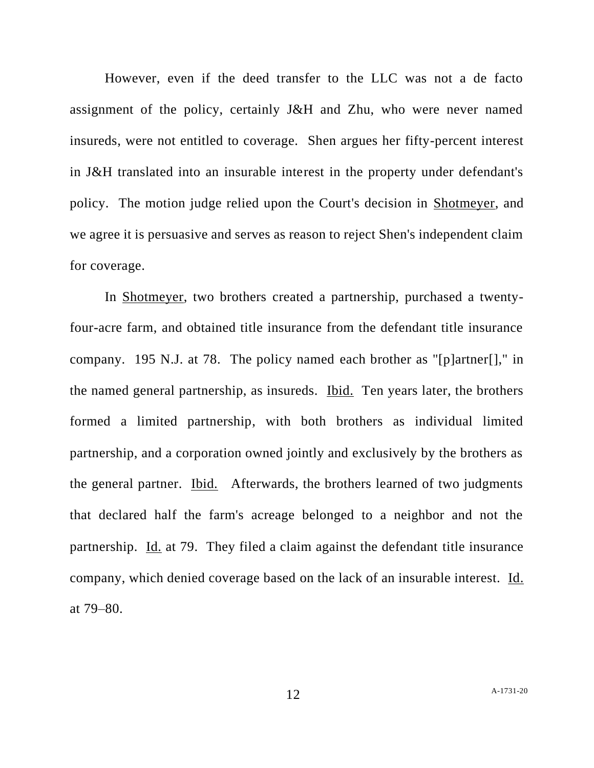However, even if the deed transfer to the LLC was not a de facto assignment of the policy, certainly J&H and Zhu, who were never named insureds, were not entitled to coverage. Shen argues her fifty-percent interest in J&H translated into an insurable interest in the property under defendant's policy. The motion judge relied upon the Court's decision in Shotmeyer, and we agree it is persuasive and serves as reason to reject Shen's independent claim for coverage.

In Shotmeyer, two brothers created a partnership, purchased a twentyfour-acre farm, and obtained title insurance from the defendant title insurance company. 195 N.J. at 78. The policy named each brother as "[p]artner[]," in the named general partnership, as insureds. Ibid. Ten years later, the brothers formed a limited partnership, with both brothers as individual limited partnership, and a corporation owned jointly and exclusively by the brothers as the general partner. Ibid. Afterwards, the brothers learned of two judgments that declared half the farm's acreage belonged to a neighbor and not the partnership. Id. at 79. They filed a claim against the defendant title insurance company, which denied coverage based on the lack of an insurable interest. Id. at 79–80.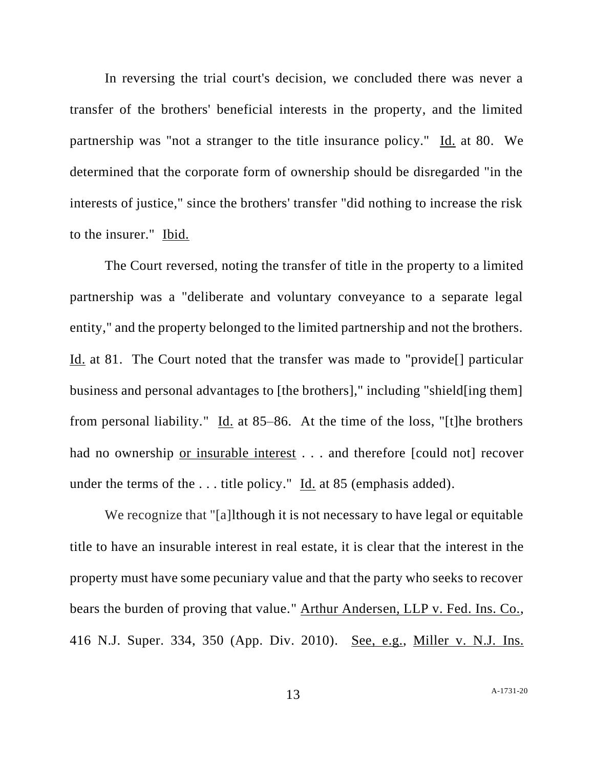In reversing the trial court's decision, we concluded there was never a transfer of the brothers' beneficial interests in the property, and the limited partnership was "not a stranger to the title insurance policy." Id. at 80. We determined that the corporate form of ownership should be disregarded "in the interests of justice," since the brothers' transfer "did nothing to increase the risk to the insurer." Ibid.

The Court reversed, noting the transfer of title in the property to a limited partnership was a "deliberate and voluntary conveyance to a separate legal entity," and the property belonged to the limited partnership and not the brothers. Id. at 81. The Court noted that the transfer was made to "provide[] particular business and personal advantages to [the brothers]," including "shield[ing them] from personal liability." Id. at 85–86. At the time of the loss, "[t]he brothers had no ownership or insurable interest . . . and therefore [could not] recover under the terms of the ... title policy." Id. at 85 (emphasis added).

We recognize that "[a]lthough it is not necessary to have legal or equitable title to have an insurable interest in real estate, it is clear that the interest in the property must have some pecuniary value and that the party who seeks to recover bears the burden of proving that value." Arthur Andersen, LLP v. Fed. Ins. Co., 416 N.J. Super. 334, 350 (App. Div. 2010). See, e.g., Miller v. N.J. Ins.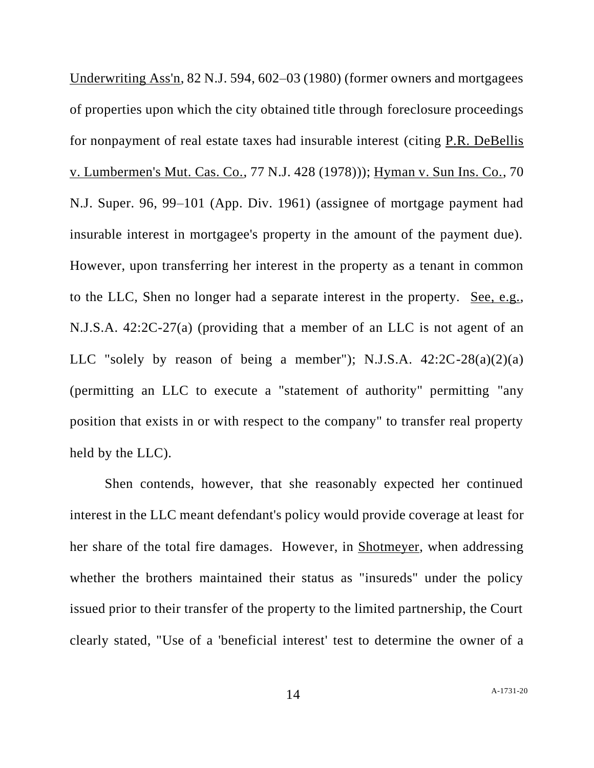Underwriting Ass'n, 82 N.J. 594, 602–03 (1980) (former owners and mortgagees of properties upon which the city obtained title through foreclosure proceedings for nonpayment of real estate taxes had insurable interest (citing P.R. DeBellis v. Lumbermen's Mut. Cas. Co., 77 N.J. 428 (1978))); Hyman v. Sun Ins. Co., 70 N.J. Super. 96, 99–101 (App. Div. 1961) (assignee of mortgage payment had insurable interest in mortgagee's property in the amount of the payment due). However, upon transferring her interest in the property as a tenant in common to the LLC, Shen no longer had a separate interest in the property. See, e.g., N.J.S.A. 42:2C-27(a) (providing that a member of an LLC is not agent of an LLC "solely by reason of being a member"); N.J.S.A.  $42:2C-28(a)(2)(a)$ (permitting an LLC to execute a "statement of authority" permitting "any position that exists in or with respect to the company" to transfer real property held by the LLC).

Shen contends, however, that she reasonably expected her continued interest in the LLC meant defendant's policy would provide coverage at least for her share of the total fire damages. However, in Shotmeyer, when addressing whether the brothers maintained their status as "insureds" under the policy issued prior to their transfer of the property to the limited partnership, the Court clearly stated, "Use of a 'beneficial interest' test to determine the owner of a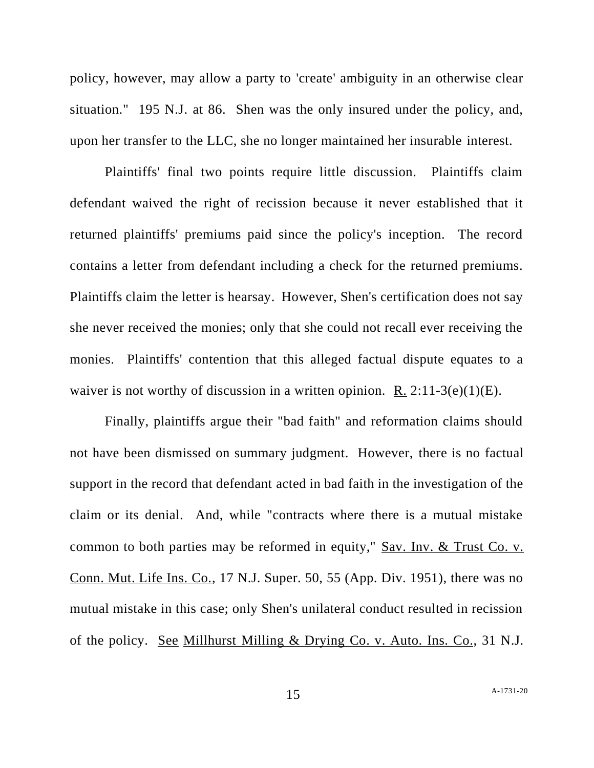policy, however, may allow a party to 'create' ambiguity in an otherwise clear situation." 195 N.J. at 86. Shen was the only insured under the policy, and, upon her transfer to the LLC, she no longer maintained her insurable interest.

Plaintiffs' final two points require little discussion. Plaintiffs claim defendant waived the right of recission because it never established that it returned plaintiffs' premiums paid since the policy's inception. The record contains a letter from defendant including a check for the returned premiums. Plaintiffs claim the letter is hearsay. However, Shen's certification does not say she never received the monies; only that she could not recall ever receiving the monies. Plaintiffs' contention that this alleged factual dispute equates to a waiver is not worthy of discussion in a written opinion. R.  $2:11-3(e)(1)(E)$ .

Finally, plaintiffs argue their "bad faith" and reformation claims should not have been dismissed on summary judgment. However, there is no factual support in the record that defendant acted in bad faith in the investigation of the claim or its denial. And, while "contracts where there is a mutual mistake common to both parties may be reformed in equity," Sav. Inv. & Trust Co. v. Conn. Mut. Life Ins. Co., 17 N.J. Super. 50, 55 (App. Div. 1951), there was no mutual mistake in this case; only Shen's unilateral conduct resulted in recission of the policy. See Millhurst Milling & Drying Co. v. Auto. Ins. Co., 31 N.J.